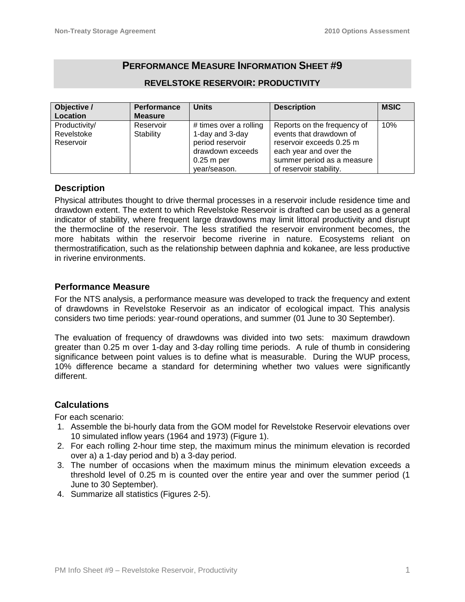# **PERFORMANCE MEASURE INFORMATION SHEET #9**

| Objective /   | Performance    | <b>Units</b>           | <b>Description</b>          | <b>MSIC</b> |
|---------------|----------------|------------------------|-----------------------------|-------------|
| Location      | <b>Measure</b> |                        |                             |             |
| Productivity/ | Reservoir      | # times over a rolling | Reports on the frequency of | 10%         |
| Revelstoke    | Stability      | 1-day and 3-day        | events that drawdown of     |             |
| Reservoir     |                | period reservoir       | reservoir exceeds 0.25 m    |             |
|               |                | drawdown exceeds       | each year and over the      |             |
|               |                | $0.25$ m per           | summer period as a measure  |             |
|               |                | year/season.           | of reservoir stability.     |             |

### **REVELSTOKE RESERVOIR: PRODUCTIVITY**

### **Description**

Physical attributes thought to drive thermal processes in a reservoir include residence time and drawdown extent. The extent to which Revelstoke Reservoir is drafted can be used as a general indicator of stability, where frequent large drawdowns may limit littoral productivity and disrupt the thermocline of the reservoir. The less stratified the reservoir environment becomes, the more habitats within the reservoir become riverine in nature. Ecosystems reliant on thermostratification, such as the relationship between daphnia and kokanee, are less productive in riverine environments.

### **Performance Measure**

For the NTS analysis, a performance measure was developed to track the frequency and extent of drawdowns in Revelstoke Reservoir as an indicator of ecological impact. This analysis considers two time periods: year-round operations, and summer (01 June to 30 September).

The evaluation of frequency of drawdowns was divided into two sets: maximum drawdown greater than 0.25 m over 1-day and 3-day rolling time periods. A rule of thumb in considering significance between point values is to define what is measurable. During the WUP process, 10% difference became a standard for determining whether two values were significantly different.

# **Calculations**

For each scenario:

- 1. Assemble the bi-hourly data from the GOM model for Revelstoke Reservoir elevations over 10 simulated inflow years (1964 and 1973) (Figure 1).
- 2. For each rolling 2-hour time step, the maximum minus the minimum elevation is recorded over a) a 1-day period and b) a 3-day period.
- 3. The number of occasions when the maximum minus the minimum elevation exceeds a threshold level of 0.25 m is counted over the entire year and over the summer period (1 June to 30 September).
- 4. Summarize all statistics (Figures 2-5).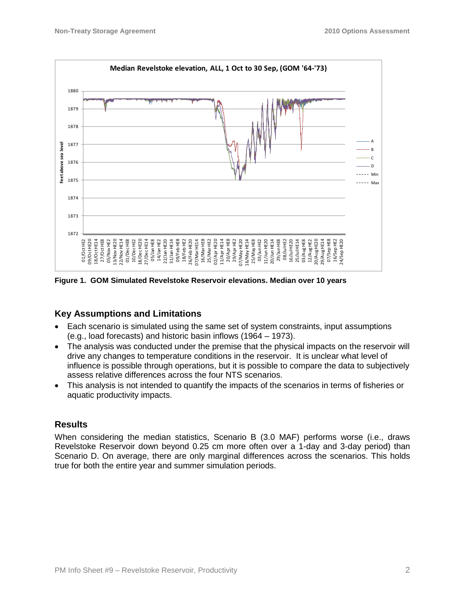

**Figure 1. GOM Simulated Revelstoke Reservoir elevations. Median over 10 years**

# **Key Assumptions and Limitations**

- Each scenario is simulated using the same set of system constraints, input assumptions (e.g., load forecasts) and historic basin inflows (1964 – 1973).
- The analysis was conducted under the premise that the physical impacts on the reservoir will drive any changes to temperature conditions in the reservoir. It is unclear what level of influence is possible through operations, but it is possible to compare the data to subjectively assess relative differences across the four NTS scenarios.
- This analysis is not intended to quantify the impacts of the scenarios in terms of fisheries or aquatic productivity impacts.

# **Results**

When considering the median statistics, Scenario B (3.0 MAF) performs worse (i.e., draws Revelstoke Reservoir down beyond 0.25 cm more often over a 1-day and 3-day period) than Scenario D. On average, there are only marginal differences across the scenarios. This holds true for both the entire year and summer simulation periods.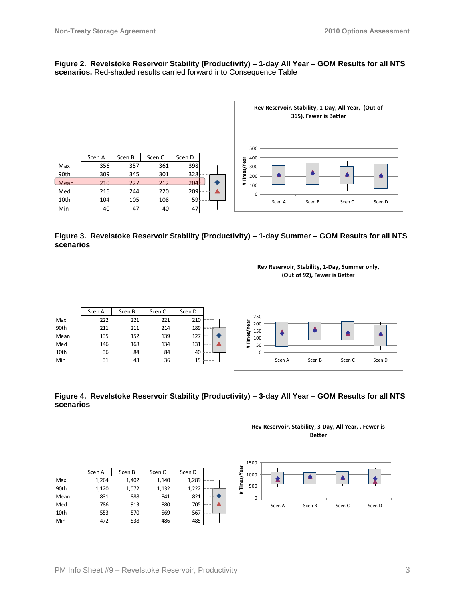#### **Figure 2. Revelstoke Reservoir Stability (Productivity) – 1-day All Year – GOM Results for all NTS scenarios.** Red-shaded results carried forward into Consequence Table



**Figure 3. Revelstoke Reservoir Stability (Productivity) – 1-day Summer – GOM Results for all NTS scenarios**



**Figure 4. Revelstoke Reservoir Stability (Productivity) – 3-day All Year – GOM Results for all NTS scenarios**